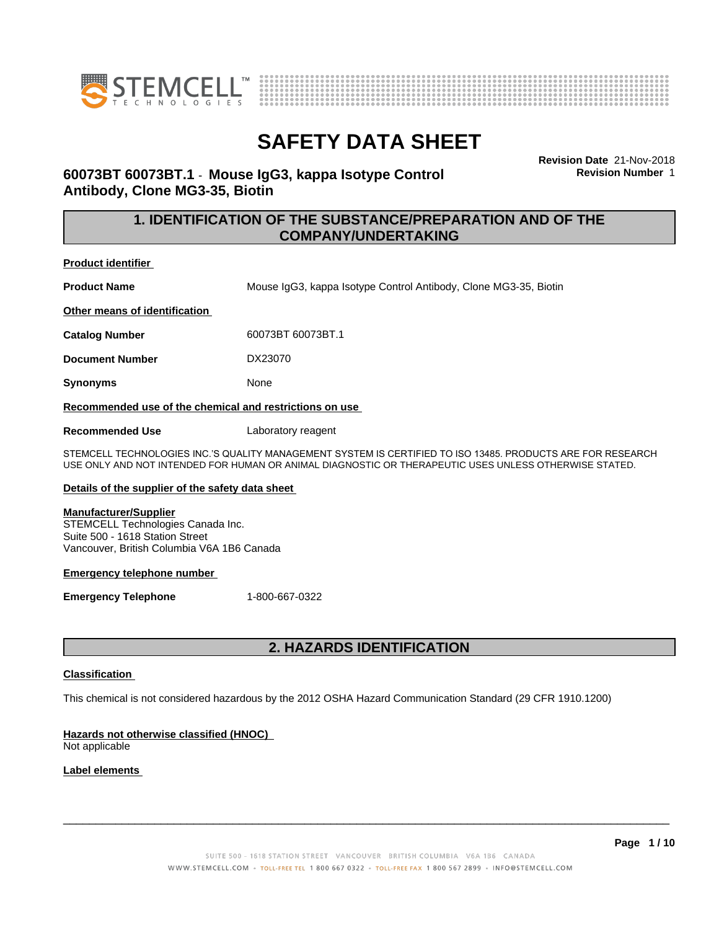



**Revision Date** 21-Nov-2018 **Revision Number** 1

## **60073BT 60073BT.1** - **Mouse IgG3, kappa Isotype Control Antibody, Clone MG3-35, Biotin**

## **1. IDENTIFICATION OF THE SUBSTANCE/PREPARATION AND OF THE COMPANY/UNDERTAKING**

**Product identifier**

**Product Name** Mouse IgG3, kappa Isotype Control Antibody, Clone MG3-35, Biotin

**Other means of identification**

**Catalog Number** 60073BT 60073BT.1

**Document Number** DX23070

**Synonyms** None

**Recommended use of the chemical and restrictions on use**

**Recommended Use** Laboratory reagent

STEMCELL TECHNOLOGIES INC.'S QUALITY MANAGEMENT SYSTEM IS CERTIFIED TO ISO 13485. PRODUCTS ARE FOR RESEARCH USE ONLY AND NOT INTENDED FOR HUMAN OR ANIMAL DIAGNOSTIC OR THERAPEUTIC USES UNLESS OTHERWISE STATED.

### **Details of the supplier of the safety data sheet**

### **Manufacturer/Supplier**

STEMCELL Technologies Canada Inc. Suite 500 - 1618 Station Street Vancouver, British Columbia V6A 1B6 Canada

### **Emergency telephone number**

**Emergency Telephone** 1-800-667-0322

## **2. HAZARDS IDENTIFICATION**

### **Classification**

This chemical is not considered hazardous by the 2012 OSHA Hazard Communication Standard (29 CFR 1910.1200)

### **Hazards not otherwise classified (HNOC)**

Not applicable

## **Label elements**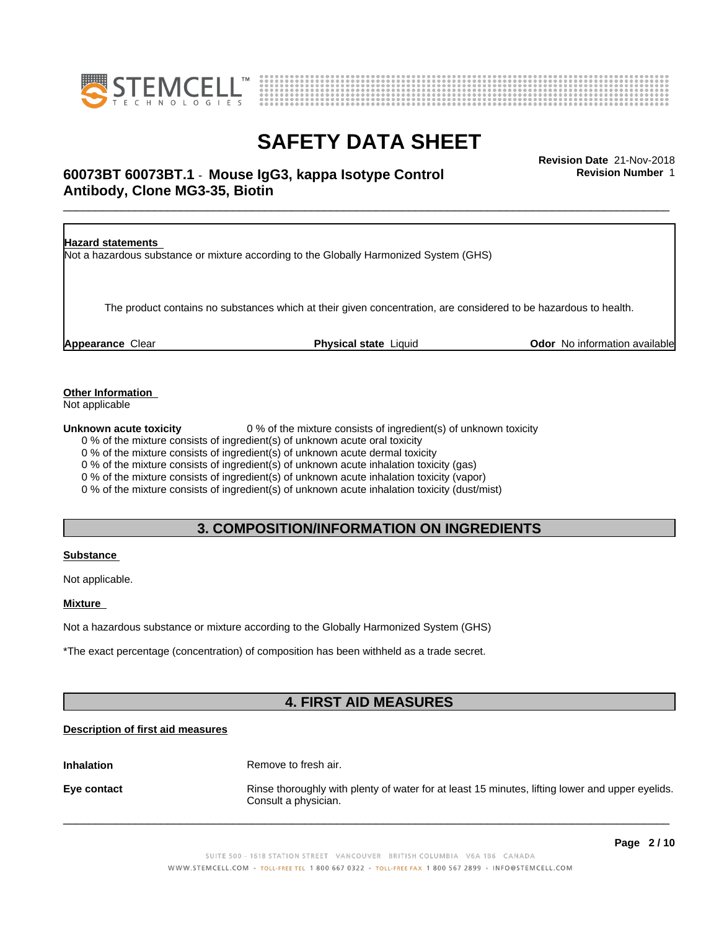



## \_\_\_\_\_\_\_\_\_\_\_\_\_\_\_\_\_\_\_\_\_\_\_\_\_\_\_\_\_\_\_\_\_\_\_\_\_\_\_\_\_\_\_\_\_\_\_\_\_\_\_\_\_\_\_\_\_\_\_\_\_\_\_\_\_\_\_\_\_\_\_\_\_\_\_\_\_\_\_\_\_\_\_\_\_\_\_\_\_\_\_\_\_ **Revision Date** 21-Nov-2018 **60073BT 60073BT.1** - **Mouse IgG3, kappa Isotype Control Antibody, Clone MG3-35, Biotin**

**Revision Number** 1



**Other Information**

Not applicable

**Unknown acute toxicity** 0 % of the mixture consists of ingredient(s) of unknown toxicity

0 % of the mixture consists of ingredient(s) of unknown acute oral toxicity

0 % of the mixture consists of ingredient(s) of unknown acute dermal toxicity

0 % of the mixture consists of ingredient(s) of unknown acute inhalation toxicity (gas)

0 % of the mixture consists of ingredient(s) of unknown acute inhalation toxicity (vapor)

0 % of the mixture consists of ingredient(s) of unknown acute inhalation toxicity (dust/mist)

## **3. COMPOSITION/INFORMATION ON INGREDIENTS**

## **Substance**

Not applicable.

### **Mixture**

Not a hazardous substance or mixture according to the Globally Harmonized System (GHS)

\*The exact percentage (concentration) of composition has been withheld as a trade secret.

## **4. FIRST AID MEASURES**

## **Description of first aid measures**

**Inhalation** Remove to fresh air.

**Eye contact Rinse thoroughly with plenty of water for at least 15 minutes, lifting lower and upper eyelids.** Consult a physician.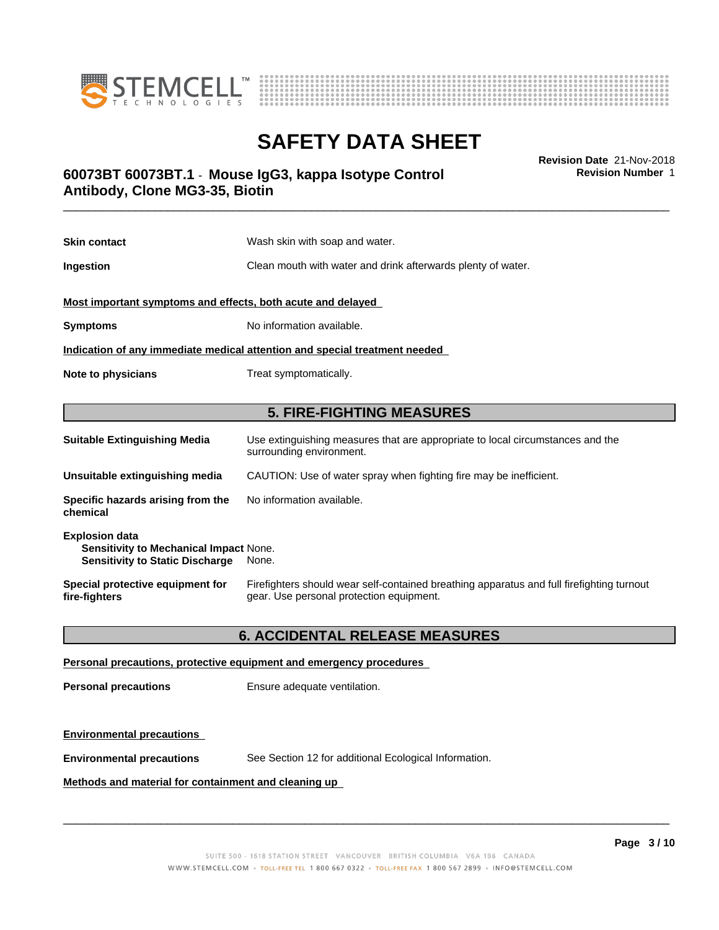



**Revision Number** 1

## \_\_\_\_\_\_\_\_\_\_\_\_\_\_\_\_\_\_\_\_\_\_\_\_\_\_\_\_\_\_\_\_\_\_\_\_\_\_\_\_\_\_\_\_\_\_\_\_\_\_\_\_\_\_\_\_\_\_\_\_\_\_\_\_\_\_\_\_\_\_\_\_\_\_\_\_\_\_\_\_\_\_\_\_\_\_\_\_\_\_\_\_\_ **Revision Date** 21-Nov-2018 **60073BT 60073BT.1** - **Mouse IgG3, kappa Isotype Control Antibody, Clone MG3-35, Biotin**

| <b>Skin contact</b>                                                                                              | Wash skin with soap and water.                                                                                                        |  |  |
|------------------------------------------------------------------------------------------------------------------|---------------------------------------------------------------------------------------------------------------------------------------|--|--|
| Ingestion                                                                                                        | Clean mouth with water and drink afterwards plenty of water.                                                                          |  |  |
| Most important symptoms and effects, both acute and delayed                                                      |                                                                                                                                       |  |  |
| <b>Symptoms</b>                                                                                                  | No information available.                                                                                                             |  |  |
|                                                                                                                  | Indication of any immediate medical attention and special treatment needed                                                            |  |  |
| Note to physicians                                                                                               | Treat symptomatically.                                                                                                                |  |  |
|                                                                                                                  |                                                                                                                                       |  |  |
|                                                                                                                  | <b>5. FIRE-FIGHTING MEASURES</b>                                                                                                      |  |  |
| <b>Suitable Extinguishing Media</b>                                                                              | Use extinguishing measures that are appropriate to local circumstances and the<br>surrounding environment.                            |  |  |
| Unsuitable extinguishing media                                                                                   | CAUTION: Use of water spray when fighting fire may be inefficient.                                                                    |  |  |
| Specific hazards arising from the<br>chemical                                                                    | No information available.                                                                                                             |  |  |
| <b>Explosion data</b><br><b>Sensitivity to Mechanical Impact None.</b><br><b>Sensitivity to Static Discharge</b> | None.                                                                                                                                 |  |  |
| Special protective equipment for<br>fire-fighters                                                                | Firefighters should wear self-contained breathing apparatus and full firefighting turnout<br>gear. Use personal protection equipment. |  |  |

## **6. ACCIDENTAL RELEASE MEASURES**

### **Personal precautions, protective equipment and emergency procedures**

**Personal precautions** Ensure adequate ventilation.

### **Environmental precautions**

**Environmental precautions** See Section 12 for additional Ecological Information.

## **Methods and material for containment and cleaning up**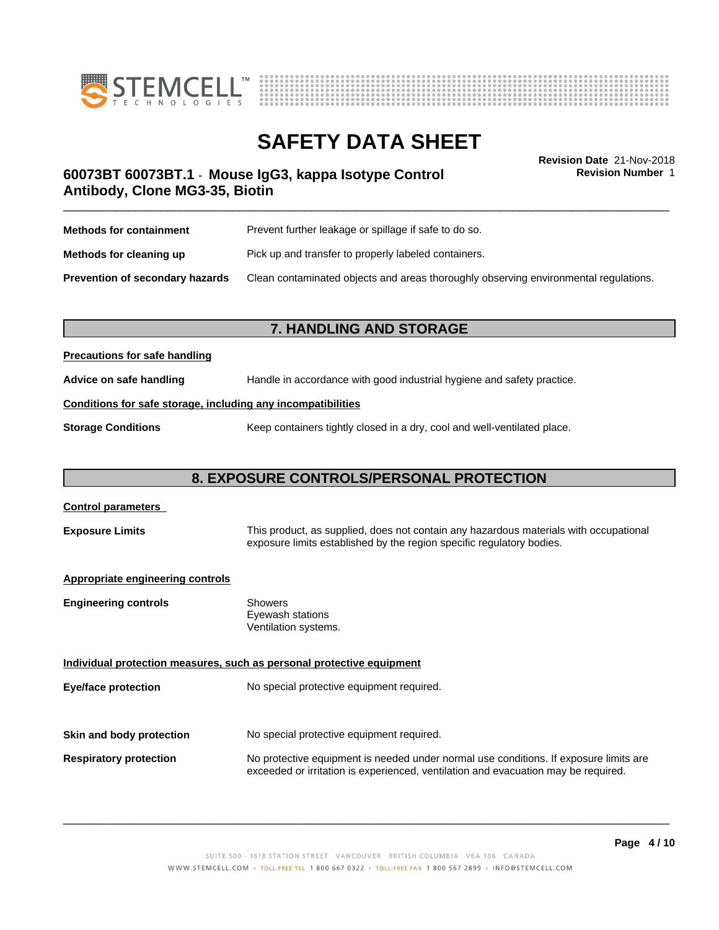



**Revision Number** 1

## \_\_\_\_\_\_\_\_\_\_\_\_\_\_\_\_\_\_\_\_\_\_\_\_\_\_\_\_\_\_\_\_\_\_\_\_\_\_\_\_\_\_\_\_\_\_\_\_\_\_\_\_\_\_\_\_\_\_\_\_\_\_\_\_\_\_\_\_\_\_\_\_\_\_\_\_\_\_\_\_\_\_\_\_\_\_\_\_\_\_\_\_\_ **Revision Date** 21-Nov-2018 **60073BT 60073BT.1** - **Mouse IgG3, kappa Isotype Control Antibody, Clone MG3-35, Biotin**

| <b>Methods for containment</b>         | Prevent further leakage or spillage if safe to do so.                                |  |
|----------------------------------------|--------------------------------------------------------------------------------------|--|
| Methods for cleaning up                | Pick up and transfer to properly labeled containers.                                 |  |
| <b>Prevention of secondary hazards</b> | Clean contaminated objects and areas thoroughly observing environmental regulations. |  |

## **7. HANDLING AND STORAGE**

### **Precautions for safe handling**

**Advice on safe handling** Handle in accordance with good industrial hygiene and safety practice.

## **Conditions for safe storage, including any incompatibilities**

**Storage Conditions** Keep containers tightly closed in a dry, cool and well-ventilated place.

## **8. EXPOSURE CONTROLS/PERSONAL PROTECTION**

# **Control parameters Exposure Limits** This product, as supplied, does not contain any hazardous materials with occupational exposure limits established by the region specific regulatory bodies. **Appropriate engineering controls Engineering controls** Showers Eyewash stations Ventilation systems. **Individual protection measures, such as personal protective equipment Eye/face protection** No special protective equipment required. **Skin and body protection** No special protective equipment required. **Respiratory protection** No protective equipment is needed under normal use conditions. If exposure limits are exceeded or irritation is experienced, ventilation and evacuation may be required.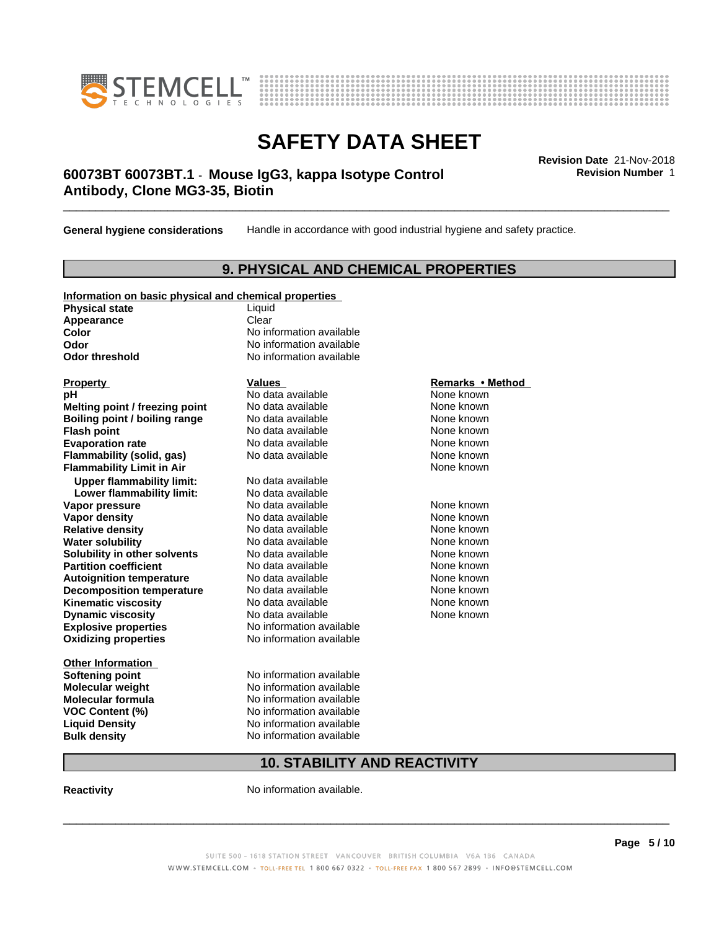



## \_\_\_\_\_\_\_\_\_\_\_\_\_\_\_\_\_\_\_\_\_\_\_\_\_\_\_\_\_\_\_\_\_\_\_\_\_\_\_\_\_\_\_\_\_\_\_\_\_\_\_\_\_\_\_\_\_\_\_\_\_\_\_\_\_\_\_\_\_\_\_\_\_\_\_\_\_\_\_\_\_\_\_\_\_\_\_\_\_\_\_\_\_ **Revision Date** 21-Nov-2018 **60073BT 60073BT.1** - **Mouse IgG3, kappa Isotype Control Antibody, Clone MG3-35, Biotin**

**General hygiene considerations** Handle in accordance with good industrial hygiene and safety practice.

## **9. PHYSICAL AND CHEMICAL PROPERTIES**

## **Information on basic physical and chemical properties**

**Physical state** Liquid Appearance **Clear** 

**Explosive properties**<br> **Oxidizing properties**<br>
No information available **Oxidizing properties Property Remarks •Method Property Remarks •Method pH** No data available None known<br> **Melting point / freezing point** No data available None known **Melting point / freezing point** No data available None known<br> **Boiling point / boiling range** No data available None known **Boiling point / boiling range Flash point No data available None known Evaporation rate Cone Cone Access Mode to Access 10 and 7 and 7 and 7 and 7 and 7 and 7 and 7 and 7 and 7 and 7 and 7 and 7 and 7 and 7 and 7 and 7 and 7 and 7 and 7 and 7 and 7 and 7 and 7 and 7 and 7 and 7 and 7 and 7 Flammability (solid, gas)** No data available None known **Flammability Limit in Air Air 1988 1999 <b>1999 1999**  None known **Upper flammability limit:** No data available **Lower flammability limit:** No data available **Vapor pressure No data available None known Vapor density**<br> **Relative density**<br>
No data available None Known<br>
None known **Relative density No data available and the Shown None known**<br> **Water solubility No data available None known None known Water solubility Solubility in other solvents** No data available None known<br> **Partition coefficient** No data available None known<br>
None known **Partition coefficient**<br> **Autoignition temperature**<br>
No data available None None known<br>
None known **Autoignition temperature No data available None known**<br> **Decomposition temperature** No data available **None known**<br>
None known **Decomposition temperature** No data available<br> **Kinematic viscosity** No data available **Kinematic viscosity No data available None known**<br> **Notata available None known**<br>
Notata available **None known Dynamic viscosity No data available None known** 

**Other Information VOC** Content (%)

**Color** No information available **Odor** No information available **Odor threshold** No information available

**Softening point** No information available **Molecular weight** No information available **Molecular formula No information available**<br>**VOC Content (%)** No information available **Liquid Density** No information available **Bulk density** No information available

## **10. STABILITY AND REACTIVITY**

**Reactivity No information available.** 

 $\overline{\phantom{a}}$  ,  $\overline{\phantom{a}}$  ,  $\overline{\phantom{a}}$  ,  $\overline{\phantom{a}}$  ,  $\overline{\phantom{a}}$  ,  $\overline{\phantom{a}}$  ,  $\overline{\phantom{a}}$  ,  $\overline{\phantom{a}}$  ,  $\overline{\phantom{a}}$  ,  $\overline{\phantom{a}}$  ,  $\overline{\phantom{a}}$  ,  $\overline{\phantom{a}}$  ,  $\overline{\phantom{a}}$  ,  $\overline{\phantom{a}}$  ,  $\overline{\phantom{a}}$  ,  $\overline{\phantom{a}}$ 

**Revision Number** 1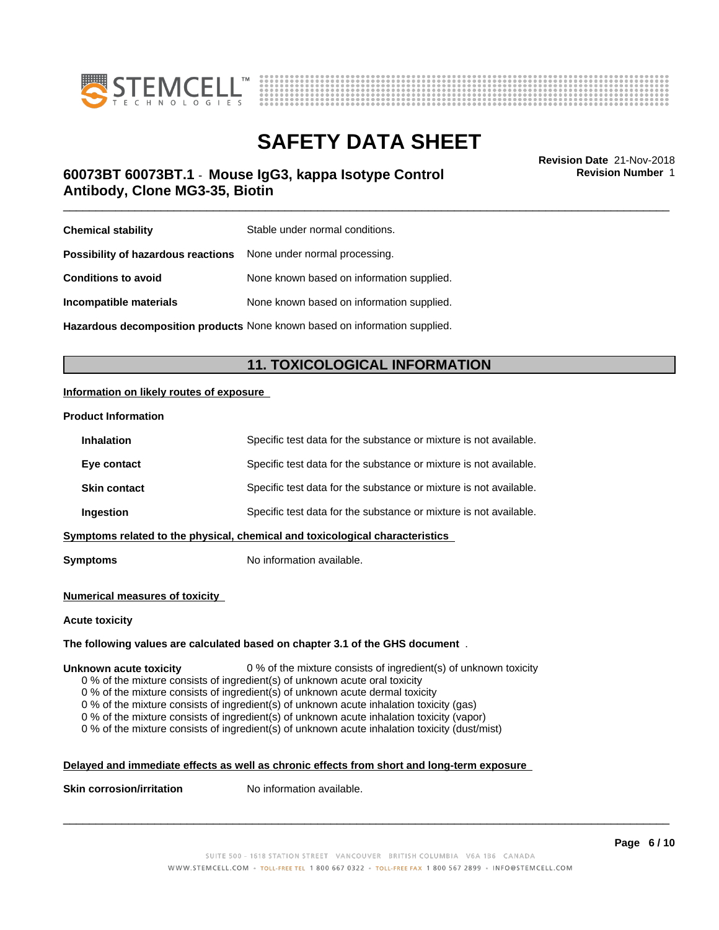



## \_\_\_\_\_\_\_\_\_\_\_\_\_\_\_\_\_\_\_\_\_\_\_\_\_\_\_\_\_\_\_\_\_\_\_\_\_\_\_\_\_\_\_\_\_\_\_\_\_\_\_\_\_\_\_\_\_\_\_\_\_\_\_\_\_\_\_\_\_\_\_\_\_\_\_\_\_\_\_\_\_\_\_\_\_\_\_\_\_\_\_\_\_ **Revision Date** 21-Nov-2018 **60073BT 60073BT.1** - **Mouse IgG3, kappa Isotype Control Antibody, Clone MG3-35, Biotin**

**Revision Number** 1

| <b>Chemical stability</b>                                               | Stable under normal conditions.           |
|-------------------------------------------------------------------------|-------------------------------------------|
| <b>Possibility of hazardous reactions</b> None under normal processing. |                                           |
| <b>Conditions to avoid</b>                                              | None known based on information supplied. |
| Incompatible materials                                                  | None known based on information supplied. |
|                                                                         |                                           |

**Hazardous decomposition products** None known based on information supplied.

## **11. TOXICOLOGICAL INFORMATION**

## **Information on likely routes of exposure**

### **Product Information**

| <b>Inhalation</b>   | Specific test data for the substance or mixture is not available.            |
|---------------------|------------------------------------------------------------------------------|
| Eye contact         | Specific test data for the substance or mixture is not available.            |
| <b>Skin contact</b> | Specific test data for the substance or mixture is not available.            |
| Ingestion           | Specific test data for the substance or mixture is not available.            |
|                     | Symptoms related to the physical, chemical and toxicological characteristics |
|                     |                                                                              |

**Symptoms** No information available.

### **Numerical measures of toxicity**

### **Acute toxicity**

### **The following values are calculated based on chapter 3.1 of the GHS document** .

### **Unknown acute toxicity** 0 % of the mixture consists of ingredient(s) of unknown toxicity

0 % of the mixture consists of ingredient(s) of unknown acute oral toxicity

0 % of the mixture consists of ingredient(s) of unknown acute dermal toxicity

0 % of the mixture consists of ingredient(s) of unknown acute inhalation toxicity (gas)

0 % of the mixture consists of ingredient(s) of unknown acute inhalation toxicity (vapor)

0 % of the mixture consists of ingredient(s) of unknown acute inhalation toxicity (dust/mist)

## **Delayed and immediate effects as well as chronic effects from short and long-term exposure**

**Skin corrosion/irritation** No information available.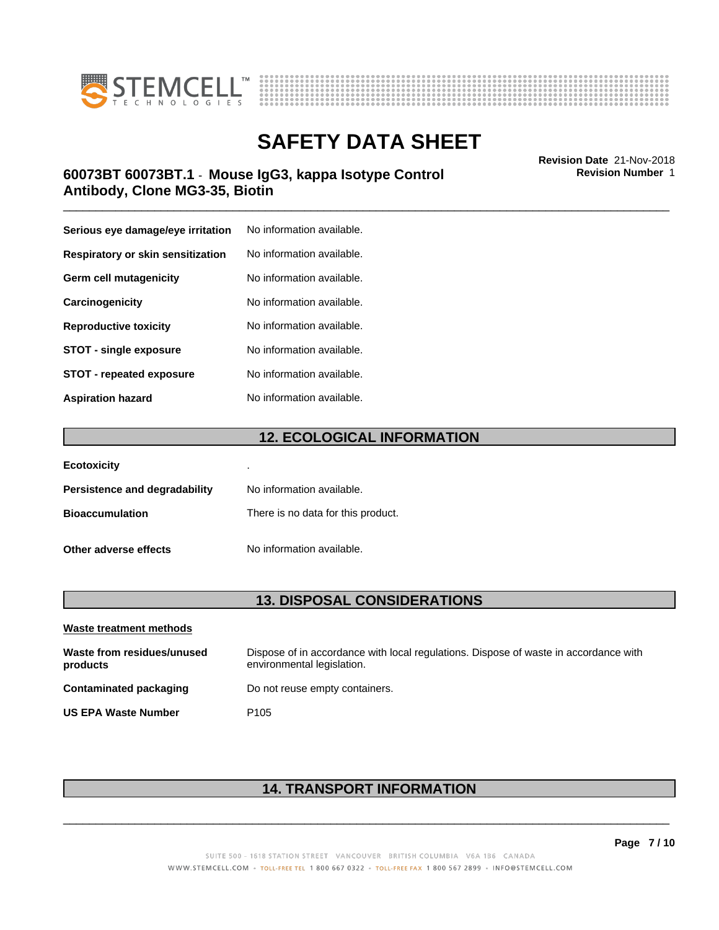



## \_\_\_\_\_\_\_\_\_\_\_\_\_\_\_\_\_\_\_\_\_\_\_\_\_\_\_\_\_\_\_\_\_\_\_\_\_\_\_\_\_\_\_\_\_\_\_\_\_\_\_\_\_\_\_\_\_\_\_\_\_\_\_\_\_\_\_\_\_\_\_\_\_\_\_\_\_\_\_\_\_\_\_\_\_\_\_\_\_\_\_\_\_ **Revision Date** 21-Nov-2018 **60073BT 60073BT.1** - **Mouse IgG3, kappa Isotype Control Antibody, Clone MG3-35, Biotin**

| Serious eye damage/eye irritation | No information available. |
|-----------------------------------|---------------------------|
| Respiratory or skin sensitization | No information available. |
| Germ cell mutagenicity            | No information available. |
| Carcinogenicity                   | No information available. |
| <b>Reproductive toxicity</b>      | No information available. |
| <b>STOT - single exposure</b>     | No information available. |
| <b>STOT - repeated exposure</b>   | No information available. |
| <b>Aspiration hazard</b>          | No information available. |

## **12. ECOLOGICAL INFORMATION**

| <b>Ecotoxicity</b>            | ٠                                  |
|-------------------------------|------------------------------------|
| Persistence and degradability | No information available.          |
| <b>Bioaccumulation</b>        | There is no data for this product. |
| Other adverse effects         | No information available.          |

## **13. DISPOSAL CONSIDERATIONS**

| Waste treatment methods                |                                                                                                                    |
|----------------------------------------|--------------------------------------------------------------------------------------------------------------------|
| Waste from residues/unused<br>products | Dispose of in accordance with local regulations. Dispose of waste in accordance with<br>environmental legislation. |
| Contaminated packaging                 | Do not reuse empty containers.                                                                                     |
| <b>US EPA Waste Number</b>             | P <sub>105</sub>                                                                                                   |

## **14. TRANSPORT INFORMATION**

 $\overline{\phantom{a}}$  ,  $\overline{\phantom{a}}$  ,  $\overline{\phantom{a}}$  ,  $\overline{\phantom{a}}$  ,  $\overline{\phantom{a}}$  ,  $\overline{\phantom{a}}$  ,  $\overline{\phantom{a}}$  ,  $\overline{\phantom{a}}$  ,  $\overline{\phantom{a}}$  ,  $\overline{\phantom{a}}$  ,  $\overline{\phantom{a}}$  ,  $\overline{\phantom{a}}$  ,  $\overline{\phantom{a}}$  ,  $\overline{\phantom{a}}$  ,  $\overline{\phantom{a}}$  ,  $\overline{\phantom{a}}$ 

**Revision Number** 1

**Page 7 / 10**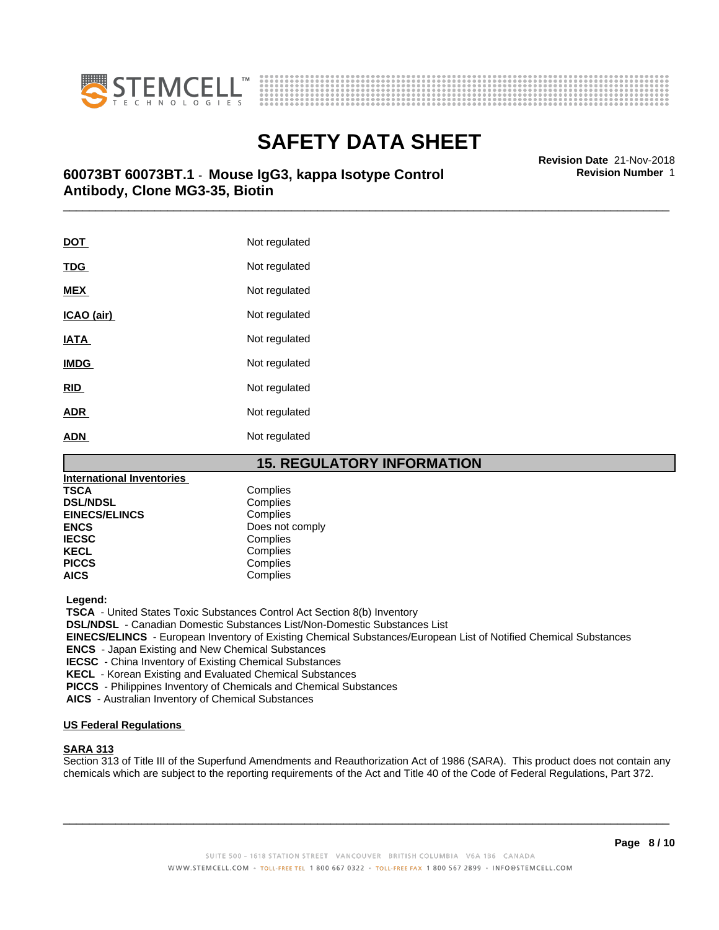



# **SAFETY DATA SHEET**<br>Revision Date 21-Nov-2018

## \_\_\_\_\_\_\_\_\_\_\_\_\_\_\_\_\_\_\_\_\_\_\_\_\_\_\_\_\_\_\_\_\_\_\_\_\_\_\_\_\_\_\_\_\_\_\_\_\_\_\_\_\_\_\_\_\_\_\_\_\_\_\_\_\_\_\_\_\_\_\_\_\_\_\_\_\_\_\_\_\_\_\_\_\_\_\_\_\_\_\_\_\_ **Revision Date** 21-Nov-2018 **60073BT 60073BT.1** - **Mouse IgG3, kappa Isotype Control Antibody, Clone MG3-35, Biotin**

**DOT** Not regulated **TDG** Not regulated **MEX** Not regulated **ICAO** (air) Not regulated **IATA** Not regulated **IMDG** Not regulated **RID** Not regulated **ADR** Not regulated **ADN** Not regulated

## **15. REGULATORY INFORMATION**

| International Inventories |                 |
|---------------------------|-----------------|
| TSCA                      | Complies        |
| <b>DSL/NDSL</b>           | Complies        |
| <b>EINECS/ELINCS</b>      | Complies        |
| ENCS                      | Does not comply |
| <b>IECSC</b>              | Complies        |
| KECL                      | Complies        |
| <b>PICCS</b>              | Complies        |
| AICS                      | Complies        |
|                           |                 |

 **Legend:**

 **TSCA** - United States Toxic Substances Control Act Section 8(b) Inventory

 **DSL/NDSL** - Canadian Domestic Substances List/Non-Domestic Substances List

 **EINECS/ELINCS** - European Inventory of Existing Chemical Substances/European List of Notified Chemical Substances

 **ENCS** - Japan Existing and New Chemical Substances

 **IECSC** - China Inventory of Existing Chemical Substances

 **KECL** - Korean Existing and Evaluated Chemical Substances

 **PICCS** - Philippines Inventory of Chemicals and Chemical Substances

 **AICS** - Australian Inventory of Chemical Substances

## **US Federal Regulations**

### **SARA 313**

Section 313 of Title III of the Superfund Amendments and Reauthorization Act of 1986 (SARA). This product does not contain any chemicals which are subject to the reporting requirements of the Act and Title 40 of the Code of Federal Regulations, Part 372.

 $\overline{\phantom{a}}$  ,  $\overline{\phantom{a}}$  ,  $\overline{\phantom{a}}$  ,  $\overline{\phantom{a}}$  ,  $\overline{\phantom{a}}$  ,  $\overline{\phantom{a}}$  ,  $\overline{\phantom{a}}$  ,  $\overline{\phantom{a}}$  ,  $\overline{\phantom{a}}$  ,  $\overline{\phantom{a}}$  ,  $\overline{\phantom{a}}$  ,  $\overline{\phantom{a}}$  ,  $\overline{\phantom{a}}$  ,  $\overline{\phantom{a}}$  ,  $\overline{\phantom{a}}$  ,  $\overline{\phantom{a}}$ 

**Revision Number** 1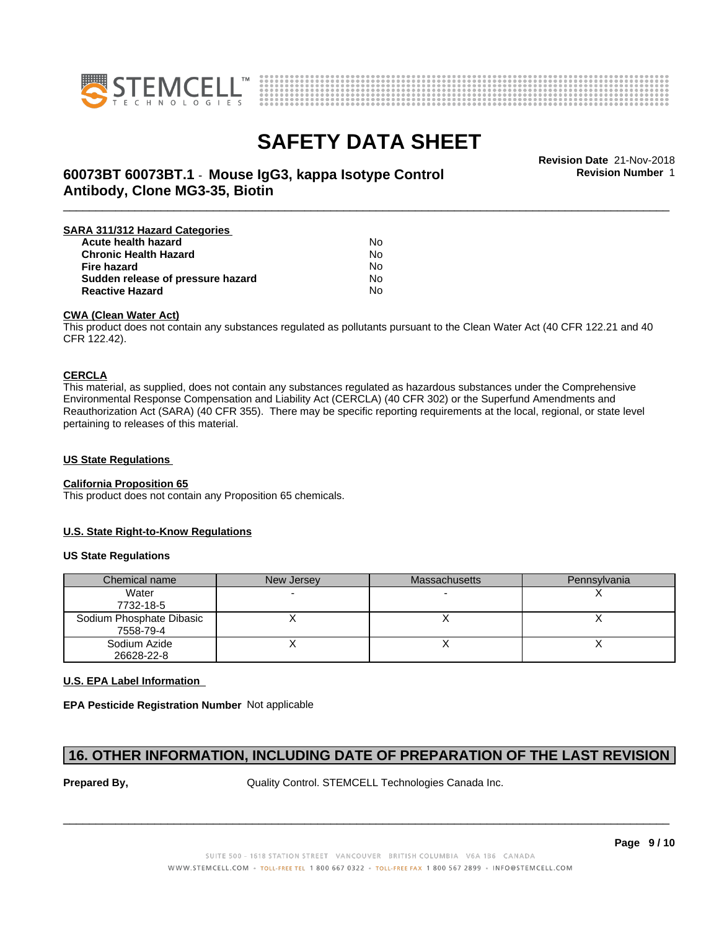



**Revision Number** 1

## \_\_\_\_\_\_\_\_\_\_\_\_\_\_\_\_\_\_\_\_\_\_\_\_\_\_\_\_\_\_\_\_\_\_\_\_\_\_\_\_\_\_\_\_\_\_\_\_\_\_\_\_\_\_\_\_\_\_\_\_\_\_\_\_\_\_\_\_\_\_\_\_\_\_\_\_\_\_\_\_\_\_\_\_\_\_\_\_\_\_\_\_\_ **Revision Date** 21-Nov-2018 **60073BT 60073BT.1** - **Mouse IgG3, kappa Isotype Control Antibody, Clone MG3-35, Biotin**

| SARA 311/312 Hazard Categories    |    |  |
|-----------------------------------|----|--|
| Acute health hazard               | No |  |
| <b>Chronic Health Hazard</b>      | No |  |
| Fire hazard                       | No |  |
| Sudden release of pressure hazard | N٥ |  |
| <b>Reactive Hazard</b>            | No |  |

### **CWA (Clean WaterAct)**

This product does not contain any substances regulated as pollutants pursuant to the Clean Water Act (40 CFR 122.21 and 40 CFR 122.42).

### **CERCLA**

This material, as supplied, does not contain any substances regulated as hazardous substances under the Comprehensive Environmental Response Compensation and Liability Act (CERCLA) (40 CFR 302) or the Superfund Amendments and Reauthorization Act (SARA) (40 CFR 355). There may be specific reporting requirements at the local, regional, or state level pertaining to releases of this material.

## **US State Regulations**

### **California Proposition 65**

This product does not contain any Proposition 65 chemicals.

### **U.S. State Right-to-Know Regulations**

### **US State Regulations**

| Chemical name                         | New Jersey | <b>Massachusetts</b> | Pennsylvania |
|---------------------------------------|------------|----------------------|--------------|
| Water<br>7732-18-5                    |            |                      |              |
| Sodium Phosphate Dibasic<br>7558-79-4 |            |                      |              |
| Sodium Azide<br>26628-22-8            |            |                      |              |

### **U.S. EPA Label Information**

**EPA Pesticide Registration Number** Not applicable

## **16. OTHER INFORMATION, INCLUDING DATE OF PREPARATION OF THE LAST REVISION**

**Prepared By, State Control. STEMCELL Technologies Canada Inc.**